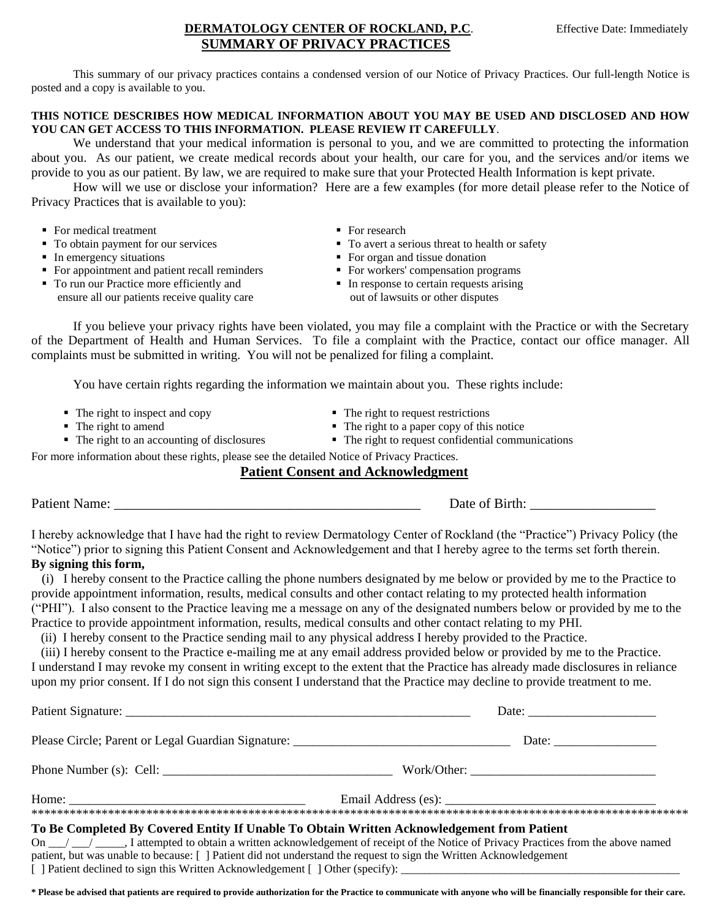### **DERMATOLOGY CENTER OF ROCKLAND, P.C.** Effective Date: Immediately **SUMMARY OF PRIVACY PRACTICES**

This summary of our privacy practices contains a condensed version of our Notice of Privacy Practices. Our full-length Notice is posted and a copy is available to you.

#### **THIS NOTICE DESCRIBES HOW MEDICAL INFORMATION ABOUT YOU MAY BE USED AND DISCLOSED AND HOW YOU CAN GET ACCESS TO THIS INFORMATION. PLEASE REVIEW IT CAREFULLY**.

 We understand that your medical information is personal to you, and we are committed to protecting the information about you. As our patient, we create medical records about your health, our care for you, and the services and/or items we provide to you as our patient. By law, we are required to make sure that your Protected Health Information is kept private.

How will we use or disclose your information? Here are a few examples (for more detail please refer to the Notice of Privacy Practices that is available to you):

- For medical treatment For research
- 
- 
- For appointment and patient recall reminders **For Workers'** compensation programs
- To run our Practice more efficiently and ensure all our patients receive quality care
- 
- To obtain payment for our services **To avert a serious threat to health or safety**<br>
 To avert a serious threat to health or safety<br>
 For organ and tissue donation
	- $\blacksquare$  For organ and tissue donation
	-
	- In response to certain requests arising out of lawsuits or other disputes

If you believe your privacy rights have been violated, you may file a complaint with the Practice or with the Secretary of the Department of Health and Human Services. To file a complaint with the Practice, contact our office manager. All complaints must be submitted in writing. You will not be penalized for filing a complaint.

You have certain rights regarding the information we maintain about you. These rights include:

- The right to inspect and copy The right to request restrictions
- 
- The right to amend <br>■ The right to a paper copy of this notice<br>■ The right to request confidential community
- -
	- $\blacksquare$  The right to request confidential communications

For more information about these rights, please see the detailed Notice of Privacy Practices.

# **Patient Consent and Acknowledgment**

Patient Name: \_\_\_\_\_\_\_\_\_\_\_\_\_\_\_\_\_\_\_\_\_\_\_\_\_\_\_\_\_\_\_\_\_\_\_\_\_\_\_\_\_\_\_\_ Date of Birth: \_\_\_\_\_\_\_\_\_\_\_\_\_\_\_\_\_\_

I hereby acknowledge that I have had the right to review Dermatology Center of Rockland (the "Practice") Privacy Policy (the "Notice") prior to signing this Patient Consent and Acknowledgement and that I hereby agree to the terms set forth therein.

## **By signing this form,**

(i) I hereby consent to the Practice calling the phone numbers designated by me below or provided by me to the Practice to provide appointment information, results, medical consults and other contact relating to my protected health information ("PHI"). I also consent to the Practice leaving me a message on any of the designated numbers below or provided by me to the Practice to provide appointment information, results, medical consults and other contact relating to my PHI.

(ii) I hereby consent to the Practice sending mail to any physical address I hereby provided to the Practice.

 (iii) I hereby consent to the Practice e-mailing me at any email address provided below or provided by me to the Practice. I understand I may revoke my consent in writing except to the extent that the Practice has already made disclosures in reliance upon my prior consent. If I do not sign this consent I understand that the Practice may decline to provide treatment to me.

| Please Circle; Parent or Legal Guardian Signature: _____________________________           |                                                                                                                               |
|--------------------------------------------------------------------------------------------|-------------------------------------------------------------------------------------------------------------------------------|
|                                                                                            | Work/Other:                                                                                                                   |
| Home: $\qquad \qquad$                                                                      |                                                                                                                               |
| To Be Completed By Covered Entity If Unable To Obtain Written Acknowledgement from Patient |                                                                                                                               |
|                                                                                            | On _/ _/ __ Tattempted to obtain a written acknowledgement of receipt of the Notice of Privacy Practices from the above named |

patient, but was unable to because: [ ] Patient did not understand the request to sign the Written Acknowledgement  $\lceil$  ] Patient declined to sign this Written Acknowledgement  $\lceil$  ] Other (specify):

**\* Please be advised that patients are required to provide authorization for the Practice to communicate with anyone who will be financially responsible for their care.**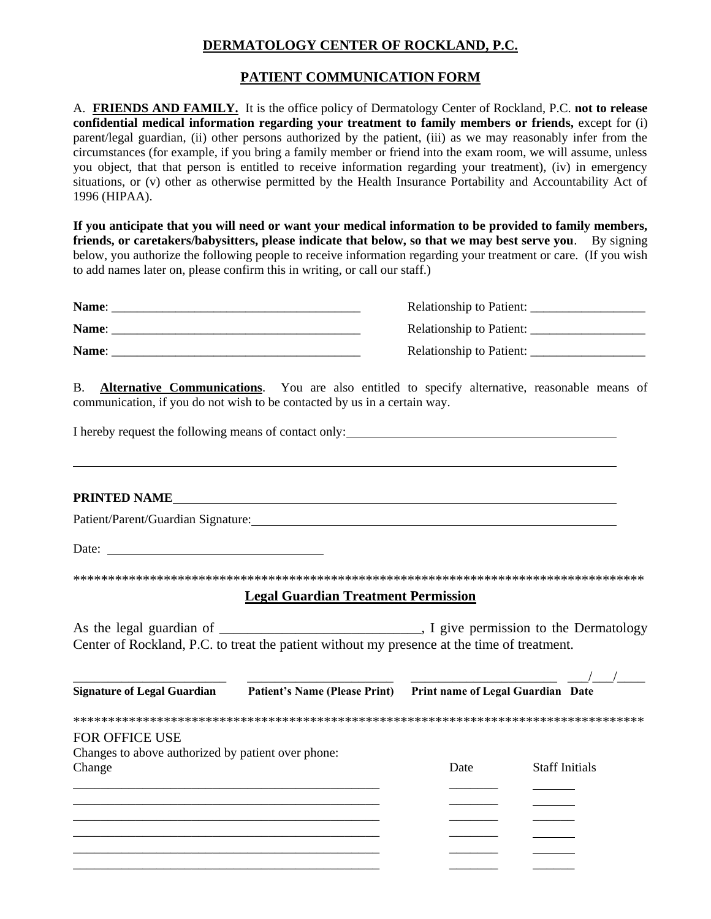# **DERMATOLOGY CENTER OF ROCKLAND, P.C.**

## **PATIENT COMMUNICATION FORM**

A. **FRIENDS AND FAMILY.** It is the office policy of Dermatology Center of Rockland, P.C. **not to release confidential medical information regarding your treatment to family members or friends,** except for (i) parent/legal guardian, (ii) other persons authorized by the patient, (iii) as we may reasonably infer from the circumstances (for example, if you bring a family member or friend into the exam room, we will assume, unless you object, that that person is entitled to receive information regarding your treatment), (iv) in emergency situations, or (v) other as otherwise permitted by the Health Insurance Portability and Accountability Act of 1996 (HIPAA).

**If you anticipate that you will need or want your medical information to be provided to family members, friends, or caretakers/babysitters, please indicate that below, so that we may best serve you**. By signing below, you authorize the following people to receive information regarding your treatment or care. (If you wish to add names later on, please confirm this in writing, or call our staff.)

| Name: | <b>Relationship to Patient:</b> |
|-------|---------------------------------|
| Name: | Relationship to Patient:        |
| Name: | <b>Relationship to Patient:</b> |

B. **Alternative Communications**. You are also entitled to specify alternative, reasonable means of communication, if you do not wish to be contacted by us in a certain way.

I hereby request the following means of contact only:<br>
<u>I</u> hereby request the following means of contact only:

#### **PRINTED NAME**

Patient/Parent/Guardian Signature:

Date:

\*\*\*\*\*\*\*\*\*\*\*\*\*\*\*\*\*\*\*\*\*\*\*\*\*\*\*\*\*\*\*\*\*\*\*\*\*\*\*\*\*\*\*\*\*\*\*\*\*\*\*\*\*\*\*\*\*\*\*\*\*\*\*\*\*\*\*\*\*\*\*\*\*\*\*\*\*\*\*\*\*\*

#### **Legal Guardian Treatment Permission**

As the legal guardian of  $\qquad \qquad$  . I give permission to the Dermatology Center of Rockland, P.C. to treat the patient without my presence at the time of treatment.

| <b>Signature of Legal Guardian</b>                 | <b>Patient's Name (Please Print)</b> | Print name of Legal Guardian Date |                       |
|----------------------------------------------------|--------------------------------------|-----------------------------------|-----------------------|
|                                                    |                                      |                                   |                       |
| <b>FOR OFFICE USE</b>                              |                                      |                                   |                       |
| Changes to above authorized by patient over phone: |                                      |                                   |                       |
| Change                                             |                                      | Date                              | <b>Staff Initials</b> |
|                                                    |                                      |                                   |                       |
|                                                    |                                      |                                   |                       |
|                                                    |                                      |                                   |                       |
|                                                    |                                      |                                   |                       |
|                                                    |                                      |                                   |                       |
|                                                    |                                      |                                   |                       |